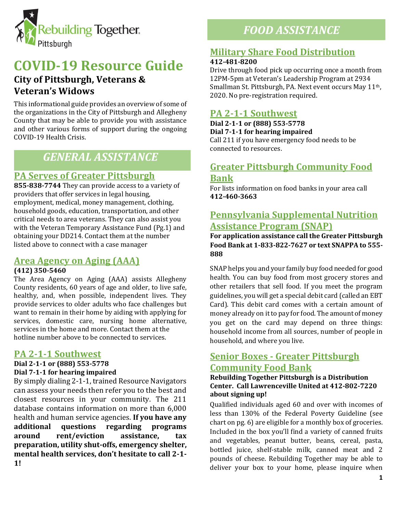

# **COVID-19 Resource Guide**

# **City of Pittsburgh, Veterans & Veteran's Widows**

This informational guide provides an overview of some of the organizations in the City of Pittsburgh and Allegheny County that may be able to provide you with assistance and other various forms of support during the ongoing COVID-19 Health Crisis.

# *GENERAL ASSISTANCE*

## **PA Serves of Greater Pittsburgh**

**855-838-7744** They can provide access to a variety of providers that offer services in legal housing, employment, medical, money management, clothing, household goods, education, transportation, and other critical needs to area veterans. They can also assist you with the Veteran Temporary Assistance Fund (Pg.1) and obtaining your DD214. Contact them at the number listed above to connect with a case manager

## **Area Agency on Aging (AAA)**

#### **(412) 350-5460**

The Area Agency on Aging (AAA) assists Allegheny County residents, 60 years of age and older, to live safe, healthy, and, when possible, independent lives. They provide services to older adults who face challenges but want to remain in their home by aiding with applying for services, domestic care, nursing home alternative, services in the home and more. Contact them at the hotline number above to be connected to services.

## **PA 2-1-1 Southwest**

#### **Dial 2-1-1 or (888) 553-5778 Dial 7-1-1 for hearing impaired**

By simply dialing 2-1-1, trained Resource Navigators can assess your needs then refer you to the best and closest resources in your community. The 211 database contains information on more than 6,000 health and human service agencies. **If you have any additional questions regarding programs around rent/eviction assistance, tax preparation, utility shut-offs, emergency shelter, mental health services, don't hesitate to call 2-1- 1!**

# *FOOD ASSISTANCE*

## **Military Share Food Distribution**

#### **412-481-8200**

Drive through food pick up occurring once a month from 12PM-5pm at Veteran's Leadership Program at 2934 Smallman St. Pittsburgh, PA. Next event occurs May 11th, 2020. No pre-registration required.

## **PA 2-1-1 Southwest**

**Dial 2-1-1 or (888) 553-5778 Dial 7-1-1 for hearing impaired** Call 211 if you have emergency food needs to be connected to resources.

## **Greater Pittsburgh Community Food Bank**

For lists information on food banks in your area call **412-460-3663**

## **Pennsylvania Supplemental Nutrition Assistance Program (SNAP)**

#### **For application assistance call the Greater Pittsburgh Food Bank at 1-833-822-7627 or text SNAPPA to 555- 888**

SNAP helps you and your family buy food needed for good health. You can buy food from most grocery stores and other retailers that sell food. If you meet the program guidelines, you will get a special debit card (called an EBT Card). This debit card comes with a certain amount of money already on it to pay for food. The amount of money you get on the card may depend on three things: household income from all sources, number of people in household, and where you live.

## **Senior Boxes - Greater Pittsburgh Community Food Bank**

#### **Rebuilding Together Pittsburgh is a Distribution Center. Call Lawrenceville United at 412-802-7220 about signing up!**

Qualified individuals aged 60 and over with incomes of less than 130% of the Federal Poverty Guideline (see chart on pg. 6) are eligible for a monthly box of groceries. Included in the box you'll find a variety of canned fruits and vegetables, peanut butter, beans, cereal, pasta, bottled juice, shelf-stable milk, canned meat and 2 pounds of cheese. Rebuilding Together may be able to deliver your box to your home, please inquire when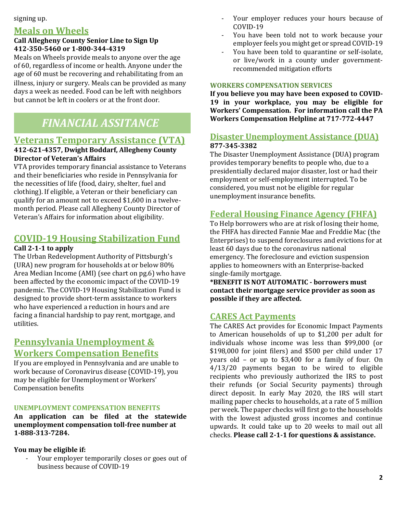#### signing up.

## **Meals on Wheels**

#### **Call Allegheny County Senior Line to Sign Up 412-350-5460 or 1-800-344-4319**

Meals on Wheels provide meals to anyone over the age of 60, regardless of income or health. Anyone under the age of 60 must be recovering and rehabilitating from an illness, injury or surgery. Meals can be provided as many days a week as needed. Food can be left with neighbors but cannot be left in coolers or at the front door.

# *FINANCIAL ASSITANCE*

### **Veterans Temporary Assistance (VTA)**

#### **412-621-4357, Dwight Boddarf, Allegheny County Director of Veteran's Affairs**

VTA provides temporary financial assistance to Veterans and their beneficiaries who reside in Pennsylvania for the necessities of life (food, dairy, shelter, fuel and clothing). If eligible, a Veteran or their beneficiary can qualify for an amount not to exceed \$1,600 in a twelvemonth period. Please call Allegheny County Director of Veteran's Affairs for information about eligibility.

## **COVID-19 Housing Stabilization Fund**

#### **Call 2-1-1 to apply**

The Urban Redevelopment Authority of Pittsburgh's (URA) new program for households at or below 80% Area Median Income (AMI) (see chart on pg.6) who have been affected by the economic impact of the COVID-19 pandemic. The COVID-19 Housing Stabilization Fund is designed to provide short-term assistance to workers who have experienced a reduction in hours and are facing a financial hardship to pay rent, mortgage, and utilities.

## **Pennsylvania Unemployment & Workers Compensation Benefits**

If you are employed in Pennsylvania and are unable to work because of Coronavirus disease (COVID-19), you may be eligible for Unemployment or Workers' Compensation benefits

#### **UNEMPLOYMENT COMPENSATION BENEFITS**

**An application can be filed at the statewide unemployment compensation toll-free number at 1-888-313-7284.**

**You may be eligible if:**

Your employer temporarily closes or goes out of business because of COVID-19

- Your employer reduces your hours because of COVID-19
- You have been told not to work because your employer feels you might get or spread COVID-19
- You have been told to quarantine or self-isolate, or live/work in a county under governmentrecommended mitigation efforts

#### **WORKERS COMPENSATION SERVICES**

**If you believe you may have been exposed to COVID-19 in your workplace, you may be eligible for Workers' Compensation. For information call the PA Workers Compensation Helpline at 717-772-4447**

#### **Disaster Unemployment Assistance (DUA) 877-345-3382**

The Disaster Unemployment Assistance (DUA) program provides temporary benefits to people who, due to a presidentially declared major disaster, lost or had their employment or self-employment interrupted. To be considered, you must not be eligible for regular unemployment insurance benefits.

### **Federal Housing Finance Agency (FHFA)**

To Help borrowers who are at risk of losing their home, the FHFA has directed Fannie Mae and Freddie Mac (the Enterprises) to suspend foreclosures and evictions for at least 60 days due to the coronavirus national emergency. The foreclosure and eviction suspension applies to homeowners with an Enterprise-backed single-family mortgage.

**\*BENEFIT IS NOT AUTOMATIC - borrowers must contact their mortgage service provider as soon as possible if they are affected.**

#### **CARES Act Payments**

The CARES Act provides for Economic Impact Payments to American households of up to \$1,200 per adult for individuals whose income was less than \$99,000 (or \$198,000 for joint filers) and \$500 per child under 17 years old – or up to \$3,400 for a family of four. On 4/13/20 payments began to be wired to eligible recipients who previously authorized the IRS to post their refunds (or Social Security payments) through direct deposit. In early May 2020, the IRS will start mailing paper checks to households, at a rate of 5 million per week. The paper checks will first go to the households with the lowest adjusted gross incomes and continue upwards. It could take up to 20 weeks to mail out all checks. **Please call 2-1-1 for questions & assistance.**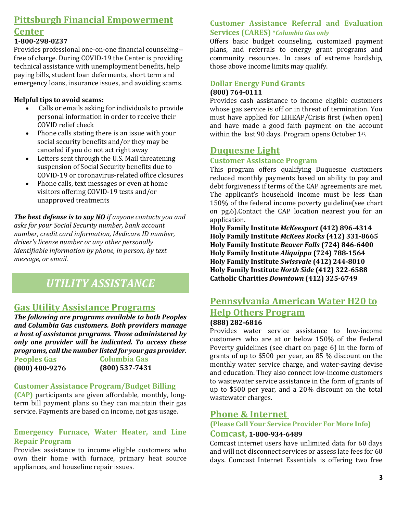# **Pittsburgh Financial Empowerment**

## **Center**

#### **1-800-298-0237**

Provides professional one-on-one financial counseling- free of charge. During COVID-19 the Center is providing technical assistance with unemployment benefits, help paying bills, student loan deferments, short term and emergency loans, insurance issues, and avoiding scams.

#### **Helpful tips to avoid scams:**

- Calls or emails asking for individuals to provide personal information in order to receive their COVID relief check
- Phone calls stating there is an issue with your social security benefits and/or they may be canceled if you do not act right away
- Letters sent through the U.S. Mail threatening suspension of Social Security benefits due to COVID-19 or coronavirus-related office closures
- Phone calls, text messages or even at home visitors offering COVID-19 tests and/or unapproved treatments

*The best defense is to say NO if anyone contacts you and asks for your Social Security number, bank account number, credit card information, Medicare ID number, driver's license number or any other personally identifiable information by phone, in person, by text message, or email.*

# *UTILITY ASSISTANCE*

## **Gas Utility Assistance Programs**

**Columbia Gas**  *The following are programs available to both Peoples and Columbia Gas customers. Both providers manage a host of assistance programs. Those administered by only one provider will be indicated. To access these programs, call the number listed for your gas provider.* **Peoples Gas**

**(800) 537-7431 (800) 400-9276**

#### **Customer Assistance Program/Budget Billing**

**(CAP)** participants are given affordable, monthly, longterm bill payment plans so they can maintain their gas service. Payments are based on income, not gas usage.

#### **Emergency Furnace, Water Heater, and Line Repair Program**

Provides assistance to income eligible customers who own their home with furnace, primary heat source appliances, and houseline repair issues.

#### **Customer Assistance Referral and Evaluation Services (CARES) \****Columbia Gas only*

Offers basic budget counseling, customized payment plans, and referrals to energy grant programs and community resources. In cases of extreme hardship, those above income limits may qualify.

#### **Dollar Energy Fund Grants (800) 764-0111**

Provides cash assistance to income eligible customers whose gas service is off or in threat of termination. You must have applied for LIHEAP/Crisis first (when open) and have made a good faith payment on the account within the last 90 days. Program opens October 1st.

### **Duquesne Light**

#### **Customer Assistance Program**

This program offers qualifying Duquesne customers reduced monthly payments based on ability to pay and debt forgiveness if terms of the CAP agreements are met. The applicant's household income must be less than 150% of the federal income poverty guideline(see chart on pg.6).Contact the CAP location nearest you for an application.

**Holy Family Institute** *McKeesport* **(412) 896-4314 Holy Family Institute** *McKees Rocks* **(412) 331-8665 Holy Family Institute** *Beaver Falls* **(724) 846-6400 Holy Family Institute** *Aliquippa* **(724) 788-1564 Holy Family Institute** *Swissvale* **(412) 244-8010 Holy Family Institute** *North Side* **(412) 322-6588 Catholic Charities** *Downtown* **(412) 325-6749**

# **Pennsylvania American Water H20 to Help Others Program**

### **(888) 282-6816**

Provides water service assistance to low-income customers who are at or below 150% of the Federal Poverty guidelines (see chart on page 6) in the form of grants of up to \$500 per year, an 85 % discount on the monthly water service charge, and water-saving devise and education. They also connect low-income customers to wastewater service assistance in the form of grants of up to \$500 per year, and a 20% discount on the total wastewater charges.

## **Phone & Internet**

### **(Please Call Your Service Provider For More Info)**

#### **Comcast, 1-800-934-6489**

Comcast internet users have unlimited data for 60 days and will not disconnect services or assess late fees for 60 days. Comcast Internet Essentials is offering two free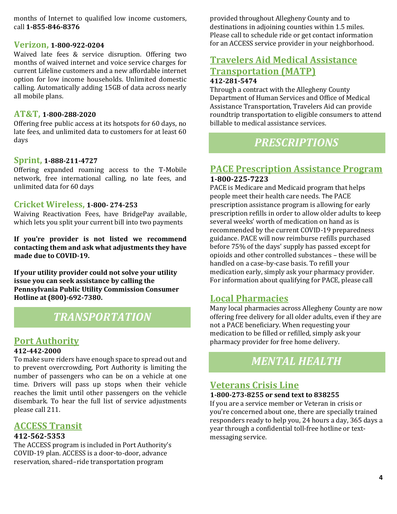months of Internet to qualified low income customers, call **1-855-846-8376** 

#### **Verizon, 1-800-922-0204**

Waived late fees & service disruption. Offering two months of waived internet and voice service charges for current Lifeline customers and a new affordable internet option for low income households. Unlimited domestic calling. Automatically adding 15GB of data across nearly all mobile plans.

#### **AT&T, 1-800-288-2020**

Offering free public access at its hotspots for 60 days, no late fees, and unlimited data to customers for at least 60 days

#### **Sprint, 1-888-211-4727**

Offering expanded roaming access to the T-Mobile network, free international calling, no late fees, and unlimited data for 60 days

#### **Cricket Wireless, 1-800- 274-253**

Waiving Reactivation Fees, have BridgePay available, which lets you split your current bill into two payments

**If you're provider is not listed we recommend contacting them and ask what adjustments they have made due to COVID-19.**

**If your utility provider could not solve your utility issue you can seek assistance by calling the Pennsylvania Public Utility Commission Consumer Hotline at (800)-692-7380.**

# *TRANSPORTATION*

#### **Port Authority**

#### **412-442-2000**

To make sure riders have enough space to spread out and to prevent overcrowding, Port Authority is limiting the number of passengers who can be on a vehicle at one time. Drivers will pass up stops when their vehicle reaches the limit until other passengers on the vehicle disembark. To hear the full list of service adjustments please call 211.

### **ACCESS Transit**

#### **412-562-5353**

The ACCESS program is included in Port Authority's COVID-19 plan. ACCESS is a door-to-door, advance reservation, shared–ride transportation program

provided throughout Allegheny County and to destinations in adjoining counties within 1.5 miles. Please call to schedule ride or get contact information for an ACCESS service provider in your neighborhood.

# **Travelers Aid Medical Assistance Transportation (MATP)**

#### **412-281-5474**

Through a contract with the Allegheny County Department of Human Services and Office of Medical Assistance Transportation, Travelers Aid can provide roundtrip transportation to eligible consumers to attend billable to medical assistance services.

# *PRESCRIPTIONS*

### **PACE Prescription Assistance Program 1-800-225-7223**

PACE is Medicare and Medicaid program that helps people meet their health care needs. The PACE prescription assistance program is allowing for early prescription refills in order to allow older adults to keep several weeks' worth of medication on hand as is recommended by the current COVID-19 preparedness guidance. PACE will now reimburse refills purchased before 75% of the days' supply has passed except for opioids and other controlled substances – these will be handled on a case-by-case basis. To refill your medication early, simply ask your pharmacy provider. For information about qualifying for PACE, please call

### **Local Pharmacies**

Many local pharmacies across Allegheny County are now offering free delivery for all older adults, even if they are not a PACE beneficiary. When requesting your medication to be filled or refilled, simply ask your pharmacy provider for free home delivery.

# *MENTAL HEALTH*

## **Veterans Crisis Line**

#### **1-800-273-8255 or send text to 838255**

If you are a service member or Veteran in crisis or you're concerned about one, there are specially trained responders ready to help you, 24 hours a day, 365 days a year through a confidential toll-free hotline or textmessaging service.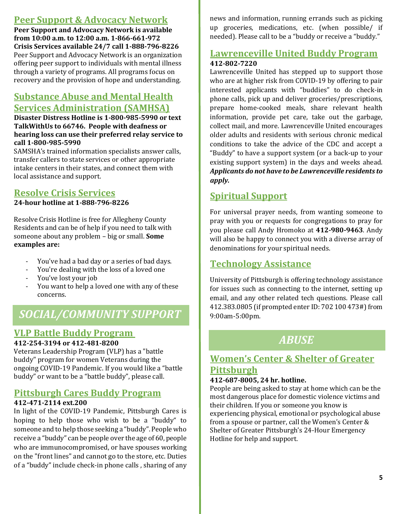## **Peer Support & Advocacy Network**

**Peer Support and Advocacy Network is available from 10:00 a.m. to 12:00 a.m. 1-866-661-972 Crisis Services available 24/7 call 1-888-796-8226** Peer Support and Advocacy Network is an organization offering peer support to individuals with mental illness through a variety of programs. All programs focus on recovery and the provision of hope and understanding.

# **Substance Abuse and Mental Health Services Administration (SAMHSA)**

**Disaster Distress Hotline is 1-800-985-5990 or text TalkWithUs to 66746. People with deafness or hearing loss can use their preferred relay service to call 1-800-985-5990**

SAMSHA's trained information specialists answer calls, transfer callers to state services or other appropriate intake centers in their states, and connect them with local assistance and support.

## **Resolve Crisis Services**

**24-hour hotline at 1-888-796-8226**

Resolve Crisis Hotline is free for Allegheny County Residents and can be of help if you need to talk with someone about any problem – big or small. **Some examples are:**

- You've had a bad day or a series of bad days.
- You're dealing with the loss of a loved one
- You've lost your job
- You want to help a loved one with any of these concerns.

# *SOCIAL/COMMUNITY SUPPORT*

# **VLP Battle Buddy Program**

#### **412-254-3194 or 412-481-8200**

Veterans Leadership Program (VLP) has a "battle buddy" program for women Veterans during the ongoing COVID-19 Pandemic. If you would like a "battle buddy" or want to be a "battle buddy", please call.

## **Pittsburgh Cares Buddy Program**

#### **412-471-2114 ext.200**

In light of the COVID-19 Pandemic, Pittsburgh Cares is hoping to help those who wish to be a "buddy" to someone and to help those seeking a "buddy". People who receive a "buddy" can be people over the age of 60, people who are immunocompromised, or have spouses working on the "front lines" and cannot go to the store, etc. Duties of a "buddy" include check-in phone calls , sharing of any

news and information, running errands such as picking up groceries, medications, etc. (when possible/ if needed). Please call to be a "buddy or receive a "buddy."

### **Lawrenceville United Buddy Program 412-802-7220**

Lawrenceville United has stepped up to support those who are at higher risk from COVID-19 by offering to pair interested applicants with "buddies" to do check-in phone calls, pick up and deliver groceries/prescriptions, prepare home-cooked meals, share relevant health information, provide pet care, take out the garbage, collect mail, and more. Lawrenceville United encourages older adults and residents with serious chronic medical conditions to take the advice of the CDC and accept a "Buddy" to have a support system (or a back-up to your existing support system) in the days and weeks ahead. *Applicants do not have to be Lawrenceville residents to apply.* 

## **Spiritual Support**

For universal prayer needs, from wanting someone to pray with you or requests for congregations to pray for you please call Andy Hromoko at **412-980-9463**. Andy will also be happy to connect you with a diverse array of denominations for your spiritual needs.

## **Technology Assistance**

University of Pittsburgh is offering technology assistance for issues such as connecting to the internet, setting up email, and any other related tech questions. Please call 412.383.0805 (if prompted enter ID: 702 100 473#) from 9:00am-5:00pm.

# *ABUSE*

# **Women's Center & Shelter of Greater Pittsburgh**

#### **412-687-8005, 24 hr. hotline.**

People are being asked to stay at home which can be the most dangerous place for domestic violence victims and their children. If you or someone you know is experiencing physical, emotional or psychological abuse from a spouse or partner, call the Women's Center & Shelter of Greater Pittsburgh's 24-Hour Emergency Hotline for help and support.